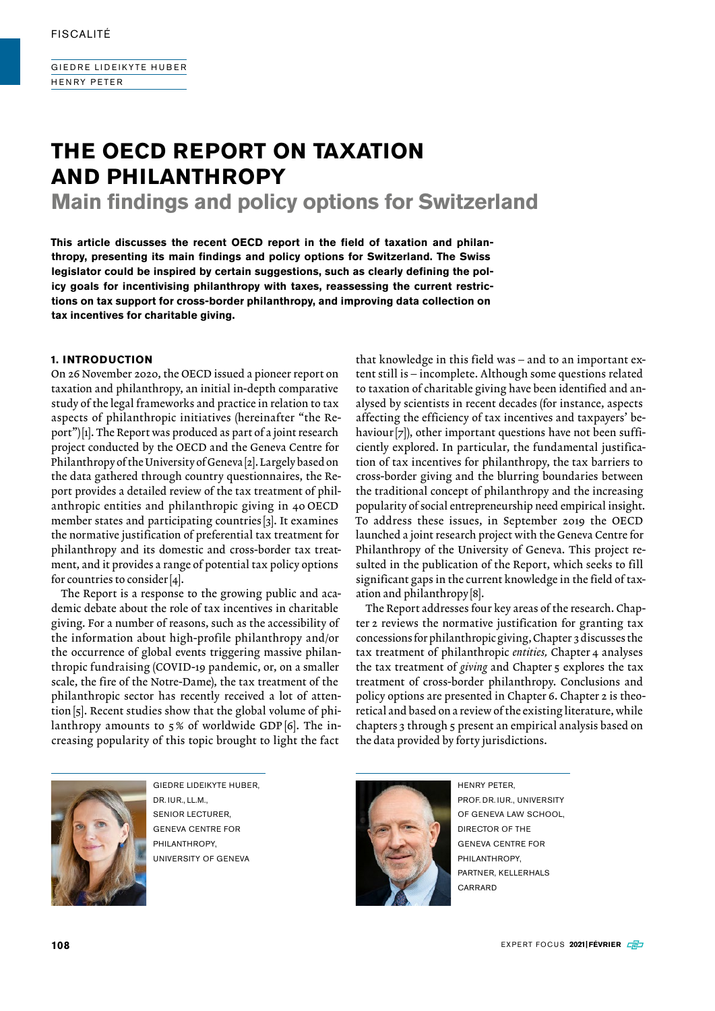GIEDRE LIDEIKYTE HUBER HENRY PETER

# **THE OECD REPORT ON TAXATION AND PHILANTHROPY**

**Main findings and policy options for Switzerland**

**This article discusses the recent OECD report in the field of taxation and philanthropy, presenting its main findings and policy options for Switzerland. The Swiss legislator could be inspired by certain suggestions, such as clearly defining the policy goals for incentivising philanthropy with taxes, reassessing the current restrictions on tax support for cross-border philanthropy, and improving data collection on tax incentives for charitable giving.**

#### **1. INTRODUCTION**

On 26 November 2020, the OECD issued a pioneer report on taxation and philanthropy, an initial in-depth comparative study of the legal frameworks and practice in relation to tax aspects of philanthropic initiatives (hereinafter "the Report")[1]. The Report was produced as part of a joint research project conducted by the OECD and the Geneva Centre for Philanthropy of the University of Geneva [2]. Largely based on the data gathered through country questionnaires, the Report provides a detailed review of the tax treatment of philanthropic entities and philanthropic giving in 40 OECD member states and participating countries [3]. It examines the normative justification of preferential tax treatment for philanthropy and its domestic and cross-border tax treatment, and it provides a range of potential tax policy options for countries to consider [4].

The Report is a response to the growing public and academic debate about the role of tax incentives in charitable giving. For a number of reasons, such as the accessibility of the information about high-profile philanthropy and/or the occurrence of global events triggering massive philanthropic fundraising (COVID-19 pandemic, or, on a smaller scale, the fire of the Notre-Dame), the tax treatment of the philanthropic sector has recently received a lot of attention[5]. Recent studies show that the global volume of philanthropy amounts to 5% of worldwide GDP  $[6]$ . The increasing popularity of this topic brought to light the fact

that knowledge in this field was – and to an important extent still is – incomplete. Although some questions related to taxation of charitable giving have been identified and analysed by scientists in recent decades (for instance, aspects affecting the efficiency of tax incentives and taxpayers' behaviour [7]), other important questions have not been sufficiently explored. In particular, the fundamental justification of tax incentives for philanthropy, the tax barriers to cross-border giving and the blurring boundaries between the traditional concept of philanthropy and the increasing popularity of social entrepreneurship need empirical insight. To address these issues, in September 2019 the OECD launched a joint research project with the Geneva Centre for Philanthropy of the University of Geneva. This project resulted in the publication of the Report, which seeks to fill significant gaps in the current knowledge in the field of taxation and philanthropy [8].

The Report addresses four key areas of the research. Chapter 2 reviews the normative justification for granting tax concessions for philanthropic giving, Chapter 3 discusses the tax treatment of philanthropic *entities,* Chapter 4 analyses the tax treatment of *giving* and Chapter 5 explores the tax treatment of cross-border philanthropy. Conclusions and policy options are presented in Chapter 6. Chapter 2 is theoretical and based on a review of the existing literature, while chapters 3 through 5 present an empirical analysis based on the data provided by forty jurisdictions.



GIEDRE LIDEIKYTE HUBER, DR. IUR., LL.M., SENIOR LECTURER, GENEVA CENTRE FOR PHILANTHROPY UNIVERSITY OF GENEVA



HENRY PETER, PROF. DR. IUR., UNIVERSITY OF GENEVA LAW SCHOOL, DIRECTOR OF THE GENEVA CENTRE FOR PHILANTHROPY, PARTNER, KELLERHALS CARRARD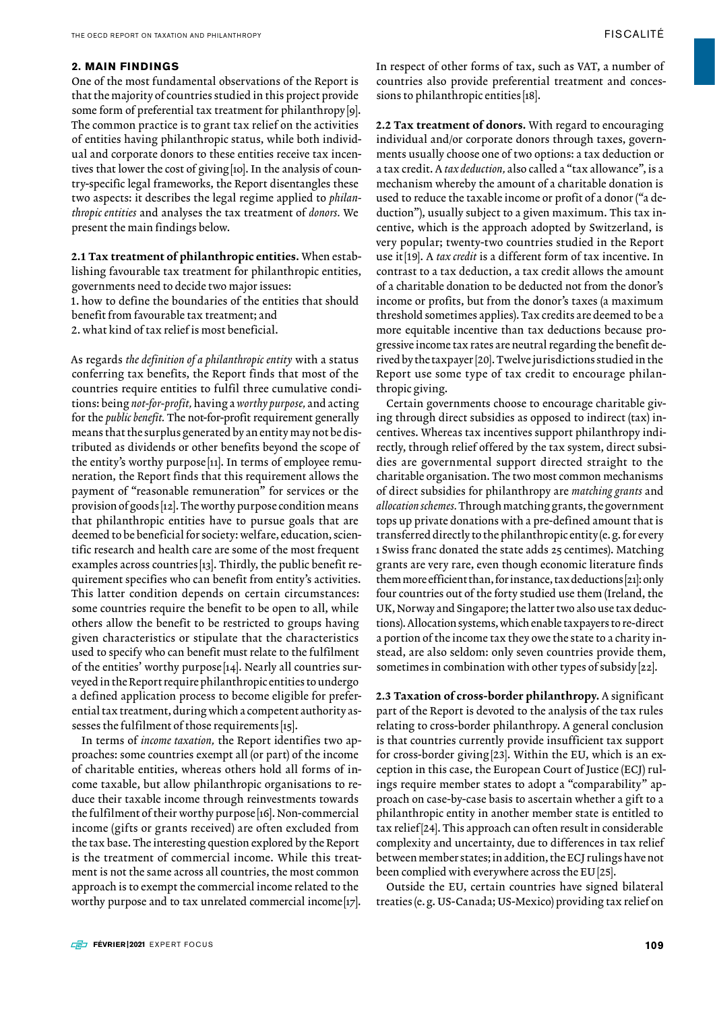One of the most fundamental observations of the Report is that the majority of countries studied in this project provide some form of preferential tax treatment for philanthropy[9]. The common practice is to grant tax relief on the activities of entities having philanthropic status, while both individual and corporate donors to these entities receive tax incentives that lower the cost of giving[10]. In the analysis of country-specific legal frameworks, the Report disentangles these two aspects: it describes the legal regime applied to *philanthropic entities* and analyses the tax treatment of *donors.* We present the main findings below.

2.1 Tax treatment of philanthropic entities. When establishing favourable tax treatment for philanthropic entities, governments need to decide two major issues:

1. how to define the boundaries of the entities that should benefit from favourable tax treatment; and

2. what kind of tax relief is most beneficial.

As regards *the definition of a philanthropic entity* with a status conferring tax benefits, the Report finds that most of the countries require entities to fulfil three cumulative conditions: being *not-for-profit,* having a *worthy purpose,* and acting for the *public benefit.* The not-for-profit requirement generally means that the surplus generated by an entity may not be distributed as dividends or other benefits beyond the scope of the entity's worthy purpose [11]. In terms of employee remuneration, the Report finds that this requirement allows the payment of "reasonable remuneration" for services or the provision of goods [12]. The worthy purpose condition means that philanthropic entities have to pursue goals that are deemed to be beneficial for society: welfare, education, scientific research and health care are some of the most frequent examples across countries [13]. Thirdly, the public benefit requirement specifies who can benefit from entity's activities. This latter condition depends on certain circumstances: some countries require the benefit to be open to all, while others allow the benefit to be restricted to groups having given characteristics or stipulate that the characteristics used to specify who can benefit must relate to the fulfilment of the entities' worthy purpose [14]. Nearly all countries surveyed in the Report require philanthropic entities to undergo a defined application process to become eligible for preferential tax treatment, during which a competent authority assesses the fulfilment of those requirements [15].

In terms of *income taxation,* the Report identifies two approaches: some countries exempt all (or part) of the income of charitable entities, whereas others hold all forms of income taxable, but allow philanthropic organisations to reduce their taxable income through reinvestments towards the fulfilment of their worthy purpose [16]. Non-commercial income (gifts or grants received) are often excluded from the tax base. The interesting question explored by the Report is the treatment of commercial income. While this treatment is not the same across all countries, the most common approach is to exempt the commercial income related to the worthy purpose and to tax unrelated commercial income[17]. In respect of other forms of tax, such as VAT, a number of countries also provide preferential treatment and concessions to philanthropic entities [18].

2.2 Tax treatment of donors. With regard to encouraging individual and/or corporate donors through taxes, governments usually choose one of two options: a tax deduction or a tax credit. A *tax deduction,* also called a "tax allowance", is a mechanism whereby the amount of a charitable donation is used to reduce the taxable income or profit of a donor ("a deduction"), usually subject to a given maximum. This tax incentive, which is the approach adopted by Switzerland, is very popular; twenty-two countries studied in the Report use it[19]. A *tax credit* is a different form of tax incentive. In contrast to a tax deduction, a tax credit allows the amount of a charitable donation to be deducted not from the donor's income or profits, but from the donor's taxes (a maximum threshold sometimes applies). Tax credits are deemed to be a more equitable incentive than tax deductions because progressive income tax rates are neutral regarding the benefit derived by the taxpayer [20]. Twelve jurisdictions studied in the Report use some type of tax credit to encourage philanthropic giving.

Certain governments choose to encourage charitable giving through direct subsidies as opposed to indirect (tax) incentives. Whereas tax incentives support philanthropy indirectly, through relief offered by the tax system, direct subsidies are governmental support directed straight to the charitable organisation. The two most common mechanisms of direct subsidies for philanthropy are *matching grants* and *allocation schemes.* Through matching grants, the government tops up private donations with a pre-defined amount that is transferred directly to the philanthropic entity (e.g. for every 1 Swiss franc donated the state adds 25 centimes). Matching grants are very rare, even though economic literature finds them more efficient than, for instance, tax deductions[21]: only four countries out of the forty studied use them (Ireland, the UK, Norway and Singapore; the latter two also use tax deductions). Allocation systems, which enable taxpayers to re-direct a portion of the income tax they owe the state to a charity instead, are also seldom: only seven countries provide them, sometimes in combination with other types of subsidy [22].

2.3 Taxation of cross-border philanthropy. A significant part of the Report is devoted to the analysis of the tax rules relating to cross-border philanthropy. A general conclusion is that countries currently provide insufficient tax support for cross-border giving[23]. Within the EU, which is an exception in this case, the European Court of Justice (ECJ) rulings require member states to adopt a "comparability" approach on case-by-case basis to ascertain whether a gift to a philanthropic entity in another member state is entitled to tax relief[24]. This approach can often result in considerable complexity and uncertainty, due to differences in tax relief between member states; in addition, the ECJ rulings have not been complied with everywhere across the EU [25].

Outside the EU, certain countries have signed bilateral treaties (e.g. US-Canada; US-Mexico) providing tax relief on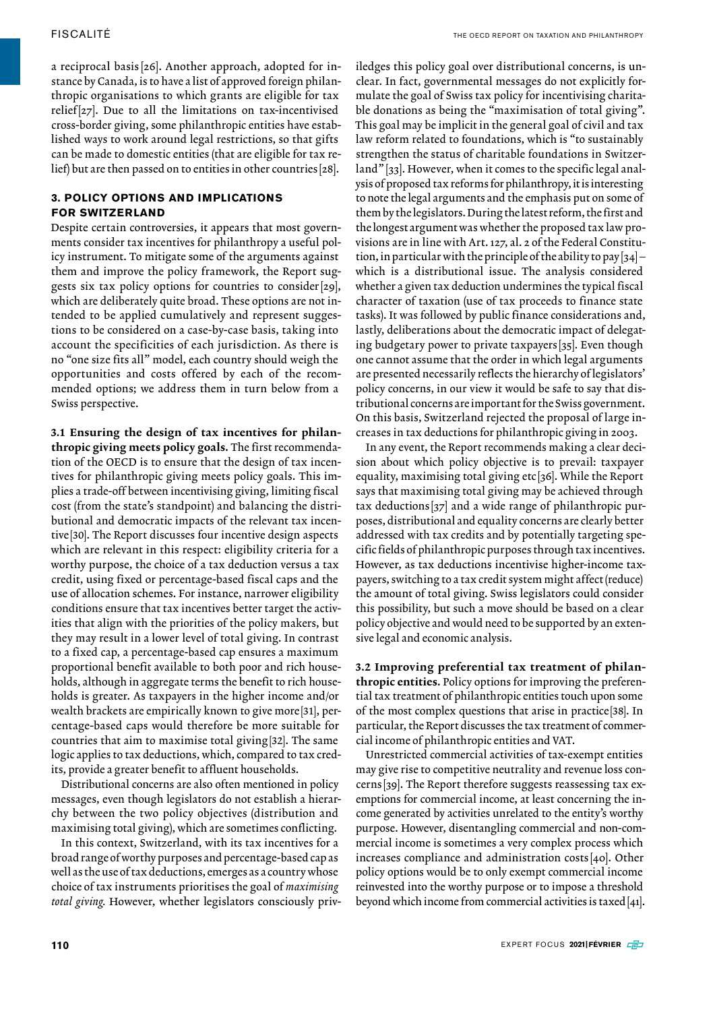a reciprocal basis [26]. Another approach, adopted for instance by Canada, is to have a list of approved foreign philanthropic organisations to which grants are eligible for tax relief[27]. Due to all the limitations on tax-incentivised cross-border giving, some philanthropic entities have established ways to work around legal restrictions, so that gifts can be made to domestic entities (that are eligible for tax relief) but are then passed on to entities in other countries [28].

#### **3. POLICY OPTIONS AND IMPLICATIONS FOR SWITZERLAND**

Despite certain controversies, it appears that most governments consider tax incentives for philanthropy a useful policy instrument. To mitigate some of the arguments against them and improve the policy framework, the Report suggests six tax policy options for countries to consider [29], which are deliberately quite broad. These options are not intended to be applied cumulatively and represent suggestions to be considered on a case-by-case basis, taking into account the specificities of each jurisdiction. As there is no "one size fits all" model, each country should weigh the opportunities and costs offered by each of the recommended options; we address them in turn below from a Swiss perspective.

3.1 Ensuring the design of tax incentives for philanthropic giving meets policy goals. The first recommendation of the OECD is to ensure that the design of tax incentives for philanthropic giving meets policy goals. This implies a trade-off between incentivising giving, limiting fiscal cost (from the state's standpoint) and balancing the distributional and democratic impacts of the relevant tax incentive [30]. The Report discusses four incentive design aspects which are relevant in this respect: eligibility criteria for a worthy purpose, the choice of a tax deduction versus a tax credit, using fixed or percentage-based fiscal caps and the use of allocation schemes. For instance, narrower eligibility conditions ensure that tax incentives better target the activities that align with the priorities of the policy makers, but they may result in a lower level of total giving. In contrast to a fixed cap, a percentage-based cap ensures a maximum proportional benefit available to both poor and rich households, although in aggregate terms the benefit to rich households is greater. As taxpayers in the higher income and/or wealth brackets are empirically known to give more[31], percentage-based caps would therefore be more suitable for countries that aim to maximise total giving[32]. The same logic applies to tax deductions, which, compared to tax credits, provide a greater benefit to affluent households.

Distributional concerns are also often mentioned in policy messages, even though legislators do not establish a hierarchy between the two policy objectives (distribution and maximising total giving), which are sometimes conflicting.

In this context, Switzerland, with its tax incentives for a broad range of worthy purposes and percentage-based cap as well as the use of tax deductions, emerges as a country whose choice of tax instruments prioritises the goal of *maximising total giving.* However, whether legislators consciously priviledges this policy goal over distributional concerns, is unclear. In fact, governmental messages do not explicitly formulate the goal of Swiss tax policy for incentivising charitable donations as being the "maximisation of total giving". This goal may be implicit in the general goal of civil and tax law reform related to foundations, which is "to sustainably strengthen the status of charitable foundations in Switzerland" [33]. However, when it comes to the specific legal analysis of proposed tax reforms for philanthropy, it is interesting to note the legal arguments and the emphasis put on some of them by the legislators. During the latest reform, the first and the longest argument was whether the proposed tax law provisions are in line with Art. 127, al. 2 of the Federal Constitution, in particular with the principle of the ability to pay  $[34]$  – which is a distributional issue. The analysis considered whether a given tax deduction undermines the typical fiscal character of taxation (use of tax proceeds to finance state tasks). It was followed by public finance considerations and, lastly, deliberations about the democratic impact of delegating budgetary power to private taxpayers [35]. Even though one cannot assume that the order in which legal arguments are presented necessarily reflects the hierarchy of legislators' policy concerns, in our view it would be safe to say that distributional concerns are important for the Swiss government. On this basis, Switzerland rejected the proposal of large increases in tax deductions for philanthropic giving in 2003.

In any event, the Report recommends making a clear decision about which policy objective is to prevail: taxpayer equality, maximising total giving etc [36]. While the Report says that maximising total giving may be achieved through tax deductions  $[37]$  and a wide range of philanthropic purposes, distributional and equality concerns are clearly better addressed with tax credits and by potentially targeting specific fields of philanthropic purposes through tax incentives. However, as tax deductions incentivise higher-income taxpayers, switching to a tax credit system might affect (reduce) the amount of total giving. Swiss legislators could consider this possibility, but such a move should be based on a clear policy objective and would need to be supported by an extensive legal and economic analysis.

3.2 Improving preferential tax treatment of philanthropic entities. Policy options for improving the preferential tax treatment of philanthropic entities touch upon some of the most complex questions that arise in practice[38]. In particular, the Report discusses the tax treatment of commercial income of philanthropic entities and VAT.

Unrestricted commercial activities of tax-exempt entities may give rise to competitive neutrality and revenue loss concerns [39]. The Report therefore suggests reassessing tax exemptions for commercial income, at least concerning the income generated by activities unrelated to the entity's worthy purpose. However, disentangling commercial and non-commercial income is sometimes a very complex process which increases compliance and administration costs [40]. Other policy options would be to only exempt commercial income reinvested into the worthy purpose or to impose a threshold beyond which income from commercial activities is taxed [41].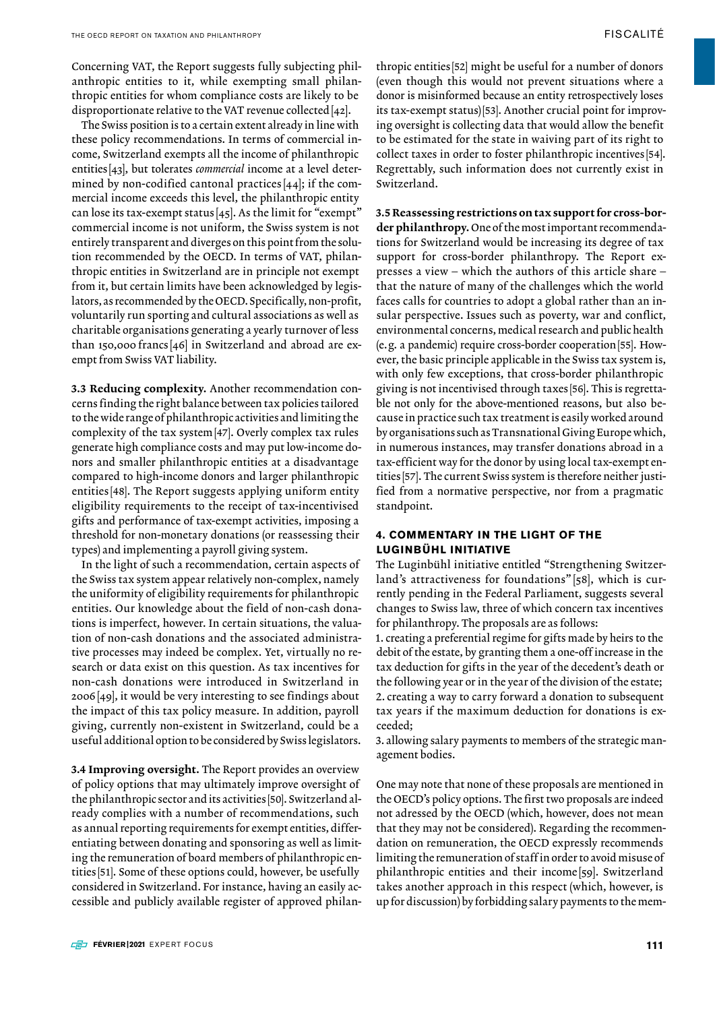The Swiss position is to a certain extent already in line with these policy recommendations. In terms of commercial income, Switzerland exempts all the income of philanthropic entities [43], but tolerates *commercial* income at a level determined by non-codified cantonal practices [44]; if the commercial income exceeds this level, the philanthropic entity can lose its tax-exempt status [45]. As the limit for "exempt" commercial income is not uniform, the Swiss system is not entirely transparent and diverges on this point from the solution recommended by the OECD. In terms of VAT, philanthropic entities in Switzerland are in principle not exempt from it, but certain limits have been acknowledged by legislators, as recommended by the OECD. Specifically, non-profit, voluntarily run sporting and cultural associations as well as charitable organisations generating a yearly turnover of less than 150,000 francs [46] in Switzerland and abroad are exempt from Swiss VAT liability.

3.3 Reducing complexity. Another recommendation concerns finding the right balance between tax policies tailored to the wide range of philanthropic activities and limiting the complexity of the tax system[47]. Overly complex tax rules generate high compliance costs and may put low-income donors and smaller philanthropic entities at a disadvantage compared to high-income donors and larger philanthropic entities [48]. The Report suggests applying uniform entity eligibility requirements to the receipt of tax-incentivised gifts and performance of tax-exempt activities, imposing a threshold for non-monetary donations (or reassessing their types) and implementing a payroll giving system.

In the light of such a recommendation, certain aspects of the Swiss tax system appear relatively non-complex, namely the uniformity of eligibility requirements for philanthropic entities. Our knowledge about the field of non-cash donations is imperfect, however. In certain situations, the valuation of non-cash donations and the associated administrative processes may indeed be complex. Yet, virtually no research or data exist on this question. As tax incentives for non-cash donations were introduced in Switzerland in 2006[49], it would be very interesting to see findings about the impact of this tax policy measure. In addition, payroll giving, currently non-existent in Switzerland, could be a useful additional option to be considered by Swiss legislators.

3.4 Improving oversight. The Report provides an overview of policy options that may ultimately improve oversight of the philanthropic sector and its activities [50]. Switzerland already complies with a number of recommendations, such as annual reporting requirements for exempt entities, differentiating between donating and sponsoring as well as limiting the remuneration of board members of philanthropic entities [51]. Some of these options could, however, be usefully considered in Switzerland. For instance, having an easily accessible and publicly available register of approved philan-

thropic entities [52] might be useful for a number of donors (even though this would not prevent situations where a donor is misinformed because an entity retrospectively loses its tax-exempt status)[53]. Another crucial point for improving oversight is collecting data that would allow the benefit to be estimated for the state in waiving part of its right to collect taxes in order to foster philanthropic incentives [54]. Regrettably, such information does not currently exist in Switzerland.

3.5 Reassessing restrictions on tax support for cross-border philanthropy. One of the most important recommendations for Switzerland would be increasing its degree of tax support for cross-border philanthropy. The Report expresses a view – which the authors of this article share – that the nature of many of the challenges which the world faces calls for countries to adopt a global rather than an insular perspective. Issues such as poverty, war and conflict, environmental concerns, medical research and public health (e.g. a pandemic) require cross-border cooperation[55]. However, the basic principle applicable in the Swiss tax system is, with only few exceptions, that cross-border philanthropic giving is not incentivised through taxes [56]. This is regrettable not only for the above-mentioned reasons, but also because in practice such tax treatment is easily worked around by organisations such as Transnational Giving Europe which, in numerous instances, may transfer donations abroad in a tax-efficient way for the donor by using local tax-exempt entities [57]. The current Swiss system is therefore neither justified from a normative perspective, nor from a pragmatic standpoint.

### **4. COMMENTARY IN THE LIGHT OF THE LUGINBÜHL INITIATIVE**

The Luginbühl initiative entitled "Strengthening Switzerland's attractiveness for foundations" [58], which is currently pending in the Federal Parliament, suggests several changes to Swiss law, three of which concern tax incentives for philanthropy. The proposals are as follows:

1. creating a preferential regime for gifts made by heirs to the debit of the estate, by granting them a one-off increase in the tax deduction for gifts in the year of the decedent's death or the following year or in the year of the division of the estate; 2. creating a way to carry forward a donation to subsequent tax years if the maximum deduction for donations is exceeded;

3. allowing salary payments to members of the strategic management bodies.

One may note that none of these proposals are mentioned in the OECD's policy options. The first two proposals are indeed not adressed by the OECD (which, however, does not mean that they may not be considered). Regarding the recommendation on remuneration, the OECD expressly recommends limiting the remuneration of staff in order to avoid misuse of philanthropic entities and their income<sup>[59]</sup>. Switzerland takes another approach in this respect (which, however, is up for discussion) by forbidding salary payments to the mem